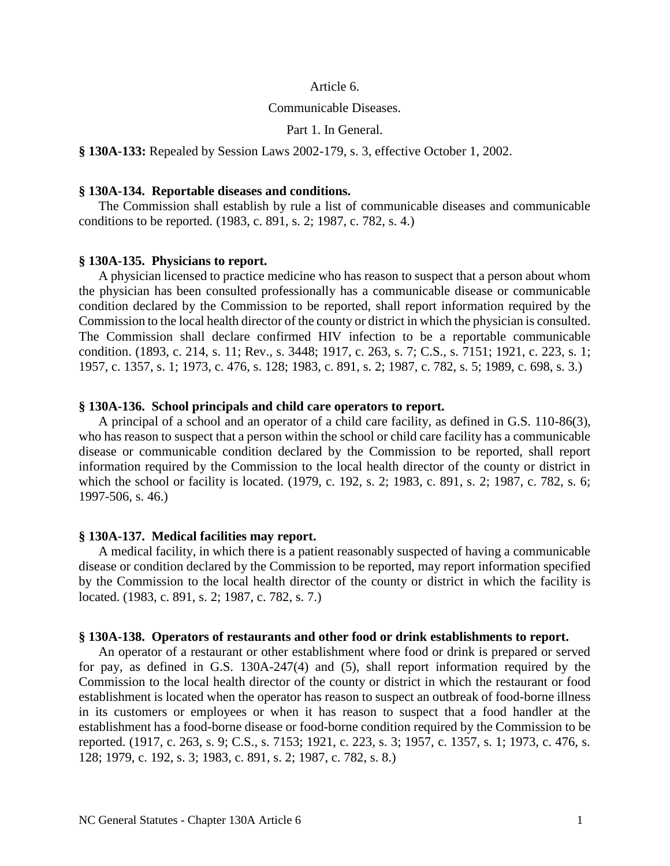#### Article 6.

### Communicable Diseases.

Part 1. In General.

**§ 130A-133:** Repealed by Session Laws 2002-179, s. 3, effective October 1, 2002.

#### **§ 130A-134. Reportable diseases and conditions.**

The Commission shall establish by rule a list of communicable diseases and communicable conditions to be reported. (1983, c. 891, s. 2; 1987, c. 782, s. 4.)

### **§ 130A-135. Physicians to report.**

A physician licensed to practice medicine who has reason to suspect that a person about whom the physician has been consulted professionally has a communicable disease or communicable condition declared by the Commission to be reported, shall report information required by the Commission to the local health director of the county or district in which the physician is consulted. The Commission shall declare confirmed HIV infection to be a reportable communicable condition. (1893, c. 214, s. 11; Rev., s. 3448; 1917, c. 263, s. 7; C.S., s. 7151; 1921, c. 223, s. 1; 1957, c. 1357, s. 1; 1973, c. 476, s. 128; 1983, c. 891, s. 2; 1987, c. 782, s. 5; 1989, c. 698, s. 3.)

#### **§ 130A-136. School principals and child care operators to report.**

A principal of a school and an operator of a child care facility, as defined in G.S. 110-86(3), who has reason to suspect that a person within the school or child care facility has a communicable disease or communicable condition declared by the Commission to be reported, shall report information required by the Commission to the local health director of the county or district in which the school or facility is located. (1979, c. 192, s. 2; 1983, c. 891, s. 2; 1987, c. 782, s. 6; 1997-506, s. 46.)

#### **§ 130A-137. Medical facilities may report.**

A medical facility, in which there is a patient reasonably suspected of having a communicable disease or condition declared by the Commission to be reported, may report information specified by the Commission to the local health director of the county or district in which the facility is located. (1983, c. 891, s. 2; 1987, c. 782, s. 7.)

#### **§ 130A-138. Operators of restaurants and other food or drink establishments to report.**

An operator of a restaurant or other establishment where food or drink is prepared or served for pay, as defined in G.S. 130A-247(4) and (5), shall report information required by the Commission to the local health director of the county or district in which the restaurant or food establishment is located when the operator has reason to suspect an outbreak of food-borne illness in its customers or employees or when it has reason to suspect that a food handler at the establishment has a food-borne disease or food-borne condition required by the Commission to be reported. (1917, c. 263, s. 9; C.S., s. 7153; 1921, c. 223, s. 3; 1957, c. 1357, s. 1; 1973, c. 476, s. 128; 1979, c. 192, s. 3; 1983, c. 891, s. 2; 1987, c. 782, s. 8.)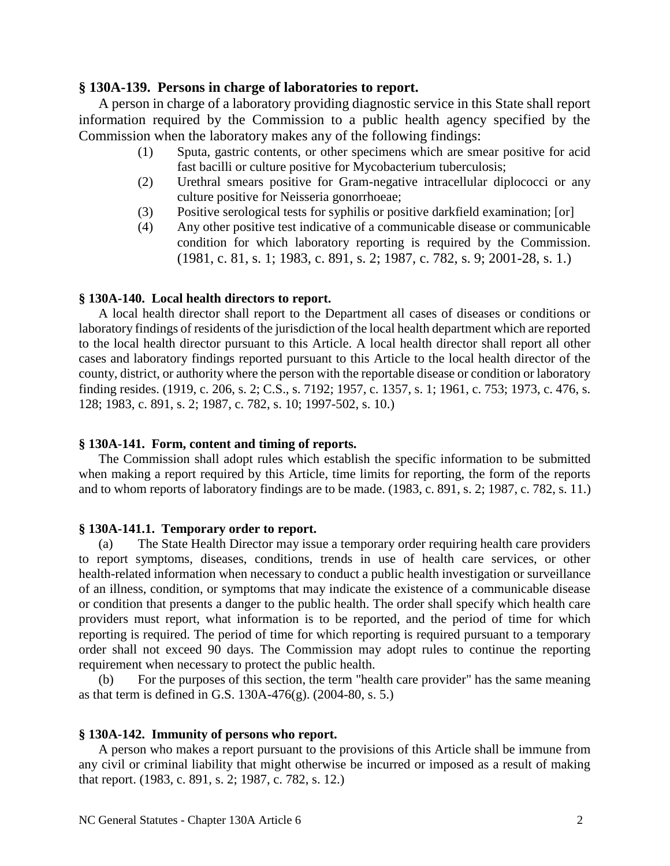## **§ 130A-139. Persons in charge of laboratories to report.**

A person in charge of a laboratory providing diagnostic service in this State shall report information required by the Commission to a public health agency specified by the Commission when the laboratory makes any of the following findings:

- (1) Sputa, gastric contents, or other specimens which are smear positive for acid fast bacilli or culture positive for Mycobacterium tuberculosis;
- (2) Urethral smears positive for Gram-negative intracellular diplococci or any culture positive for Neisseria gonorrhoeae;
- (3) Positive serological tests for syphilis or positive darkfield examination; [or]
- (4) Any other positive test indicative of a communicable disease or communicable condition for which laboratory reporting is required by the Commission. (1981, c. 81, s. 1; 1983, c. 891, s. 2; 1987, c. 782, s. 9; 2001-28, s. 1.)

### **§ 130A-140. Local health directors to report.**

A local health director shall report to the Department all cases of diseases or conditions or laboratory findings of residents of the jurisdiction of the local health department which are reported to the local health director pursuant to this Article. A local health director shall report all other cases and laboratory findings reported pursuant to this Article to the local health director of the county, district, or authority where the person with the reportable disease or condition or laboratory finding resides. (1919, c. 206, s. 2; C.S., s. 7192; 1957, c. 1357, s. 1; 1961, c. 753; 1973, c. 476, s. 128; 1983, c. 891, s. 2; 1987, c. 782, s. 10; 1997-502, s. 10.)

### **§ 130A-141. Form, content and timing of reports.**

The Commission shall adopt rules which establish the specific information to be submitted when making a report required by this Article, time limits for reporting, the form of the reports and to whom reports of laboratory findings are to be made. (1983, c. 891, s. 2; 1987, c. 782, s. 11.)

### **§ 130A-141.1. Temporary order to report.**

(a) The State Health Director may issue a temporary order requiring health care providers to report symptoms, diseases, conditions, trends in use of health care services, or other health-related information when necessary to conduct a public health investigation or surveillance of an illness, condition, or symptoms that may indicate the existence of a communicable disease or condition that presents a danger to the public health. The order shall specify which health care providers must report, what information is to be reported, and the period of time for which reporting is required. The period of time for which reporting is required pursuant to a temporary order shall not exceed 90 days. The Commission may adopt rules to continue the reporting requirement when necessary to protect the public health.

(b) For the purposes of this section, the term "health care provider" has the same meaning as that term is defined in G.S. 130A-476 $(g)$ . (2004-80, s. 5.)

### **§ 130A-142. Immunity of persons who report.**

A person who makes a report pursuant to the provisions of this Article shall be immune from any civil or criminal liability that might otherwise be incurred or imposed as a result of making that report. (1983, c. 891, s. 2; 1987, c. 782, s. 12.)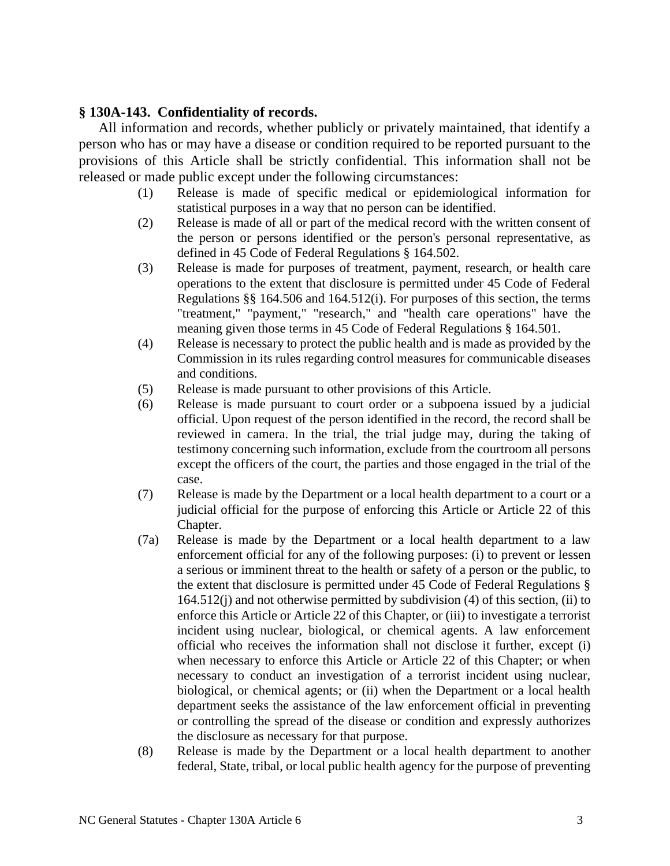# **§ 130A-143. Confidentiality of records.**

All information and records, whether publicly or privately maintained, that identify a person who has or may have a disease or condition required to be reported pursuant to the provisions of this Article shall be strictly confidential. This information shall not be released or made public except under the following circumstances:

- (1) Release is made of specific medical or epidemiological information for statistical purposes in a way that no person can be identified.
- (2) Release is made of all or part of the medical record with the written consent of the person or persons identified or the person's personal representative, as defined in 45 Code of Federal Regulations § 164.502.
- (3) Release is made for purposes of treatment, payment, research, or health care operations to the extent that disclosure is permitted under 45 Code of Federal Regulations §§ 164.506 and 164.512(i). For purposes of this section, the terms "treatment," "payment," "research," and "health care operations" have the meaning given those terms in 45 Code of Federal Regulations § 164.501.
- (4) Release is necessary to protect the public health and is made as provided by the Commission in its rules regarding control measures for communicable diseases and conditions.
- (5) Release is made pursuant to other provisions of this Article.
- (6) Release is made pursuant to court order or a subpoena issued by a judicial official. Upon request of the person identified in the record, the record shall be reviewed in camera. In the trial, the trial judge may, during the taking of testimony concerning such information, exclude from the courtroom all persons except the officers of the court, the parties and those engaged in the trial of the case.
- (7) Release is made by the Department or a local health department to a court or a judicial official for the purpose of enforcing this Article or Article 22 of this Chapter.
- (7a) Release is made by the Department or a local health department to a law enforcement official for any of the following purposes: (i) to prevent or lessen a serious or imminent threat to the health or safety of a person or the public, to the extent that disclosure is permitted under 45 Code of Federal Regulations § 164.512(j) and not otherwise permitted by subdivision (4) of this section, (ii) to enforce this Article or Article 22 of this Chapter, or (iii) to investigate a terrorist incident using nuclear, biological, or chemical agents. A law enforcement official who receives the information shall not disclose it further, except (i) when necessary to enforce this Article or Article 22 of this Chapter; or when necessary to conduct an investigation of a terrorist incident using nuclear, biological, or chemical agents; or (ii) when the Department or a local health department seeks the assistance of the law enforcement official in preventing or controlling the spread of the disease or condition and expressly authorizes the disclosure as necessary for that purpose.
- (8) Release is made by the Department or a local health department to another federal, State, tribal, or local public health agency for the purpose of preventing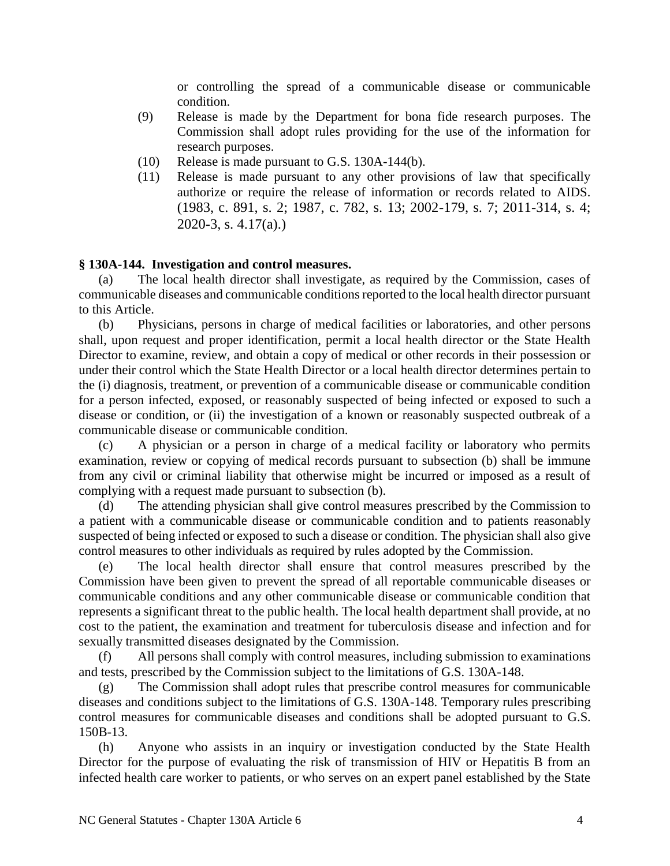or controlling the spread of a communicable disease or communicable condition.

- (9) Release is made by the Department for bona fide research purposes. The Commission shall adopt rules providing for the use of the information for research purposes.
- (10) Release is made pursuant to G.S. 130A-144(b).
- (11) Release is made pursuant to any other provisions of law that specifically authorize or require the release of information or records related to AIDS. (1983, c. 891, s. 2; 1987, c. 782, s. 13; 2002-179, s. 7; 2011-314, s. 4; 2020-3, s. 4.17(a).)

# **§ 130A-144. Investigation and control measures.**

(a) The local health director shall investigate, as required by the Commission, cases of communicable diseases and communicable conditions reported to the local health director pursuant to this Article.

(b) Physicians, persons in charge of medical facilities or laboratories, and other persons shall, upon request and proper identification, permit a local health director or the State Health Director to examine, review, and obtain a copy of medical or other records in their possession or under their control which the State Health Director or a local health director determines pertain to the (i) diagnosis, treatment, or prevention of a communicable disease or communicable condition for a person infected, exposed, or reasonably suspected of being infected or exposed to such a disease or condition, or (ii) the investigation of a known or reasonably suspected outbreak of a communicable disease or communicable condition.

(c) A physician or a person in charge of a medical facility or laboratory who permits examination, review or copying of medical records pursuant to subsection (b) shall be immune from any civil or criminal liability that otherwise might be incurred or imposed as a result of complying with a request made pursuant to subsection (b).

(d) The attending physician shall give control measures prescribed by the Commission to a patient with a communicable disease or communicable condition and to patients reasonably suspected of being infected or exposed to such a disease or condition. The physician shall also give control measures to other individuals as required by rules adopted by the Commission.

(e) The local health director shall ensure that control measures prescribed by the Commission have been given to prevent the spread of all reportable communicable diseases or communicable conditions and any other communicable disease or communicable condition that represents a significant threat to the public health. The local health department shall provide, at no cost to the patient, the examination and treatment for tuberculosis disease and infection and for sexually transmitted diseases designated by the Commission.

(f) All persons shall comply with control measures, including submission to examinations and tests, prescribed by the Commission subject to the limitations of G.S. 130A-148.

(g) The Commission shall adopt rules that prescribe control measures for communicable diseases and conditions subject to the limitations of G.S. 130A-148. Temporary rules prescribing control measures for communicable diseases and conditions shall be adopted pursuant to G.S. 150B-13.

(h) Anyone who assists in an inquiry or investigation conducted by the State Health Director for the purpose of evaluating the risk of transmission of HIV or Hepatitis B from an infected health care worker to patients, or who serves on an expert panel established by the State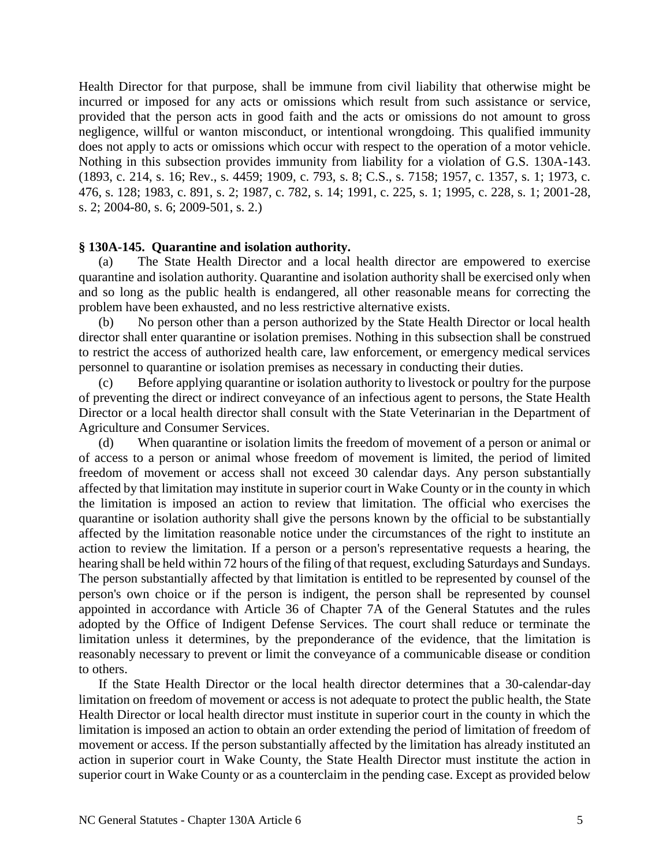Health Director for that purpose, shall be immune from civil liability that otherwise might be incurred or imposed for any acts or omissions which result from such assistance or service, provided that the person acts in good faith and the acts or omissions do not amount to gross negligence, willful or wanton misconduct, or intentional wrongdoing. This qualified immunity does not apply to acts or omissions which occur with respect to the operation of a motor vehicle. Nothing in this subsection provides immunity from liability for a violation of G.S. 130A-143. (1893, c. 214, s. 16; Rev., s. 4459; 1909, c. 793, s. 8; C.S., s. 7158; 1957, c. 1357, s. 1; 1973, c. 476, s. 128; 1983, c. 891, s. 2; 1987, c. 782, s. 14; 1991, c. 225, s. 1; 1995, c. 228, s. 1; 2001-28, s. 2; 2004-80, s. 6; 2009-501, s. 2.)

## **§ 130A-145. Quarantine and isolation authority.**

(a) The State Health Director and a local health director are empowered to exercise quarantine and isolation authority. Quarantine and isolation authority shall be exercised only when and so long as the public health is endangered, all other reasonable means for correcting the problem have been exhausted, and no less restrictive alternative exists.

(b) No person other than a person authorized by the State Health Director or local health director shall enter quarantine or isolation premises. Nothing in this subsection shall be construed to restrict the access of authorized health care, law enforcement, or emergency medical services personnel to quarantine or isolation premises as necessary in conducting their duties.

(c) Before applying quarantine or isolation authority to livestock or poultry for the purpose of preventing the direct or indirect conveyance of an infectious agent to persons, the State Health Director or a local health director shall consult with the State Veterinarian in the Department of Agriculture and Consumer Services.

(d) When quarantine or isolation limits the freedom of movement of a person or animal or of access to a person or animal whose freedom of movement is limited, the period of limited freedom of movement or access shall not exceed 30 calendar days. Any person substantially affected by that limitation may institute in superior court in Wake County or in the county in which the limitation is imposed an action to review that limitation. The official who exercises the quarantine or isolation authority shall give the persons known by the official to be substantially affected by the limitation reasonable notice under the circumstances of the right to institute an action to review the limitation. If a person or a person's representative requests a hearing, the hearing shall be held within 72 hours of the filing of that request, excluding Saturdays and Sundays. The person substantially affected by that limitation is entitled to be represented by counsel of the person's own choice or if the person is indigent, the person shall be represented by counsel appointed in accordance with Article 36 of Chapter 7A of the General Statutes and the rules adopted by the Office of Indigent Defense Services. The court shall reduce or terminate the limitation unless it determines, by the preponderance of the evidence, that the limitation is reasonably necessary to prevent or limit the conveyance of a communicable disease or condition to others.

If the State Health Director or the local health director determines that a 30-calendar-day limitation on freedom of movement or access is not adequate to protect the public health, the State Health Director or local health director must institute in superior court in the county in which the limitation is imposed an action to obtain an order extending the period of limitation of freedom of movement or access. If the person substantially affected by the limitation has already instituted an action in superior court in Wake County, the State Health Director must institute the action in superior court in Wake County or as a counterclaim in the pending case. Except as provided below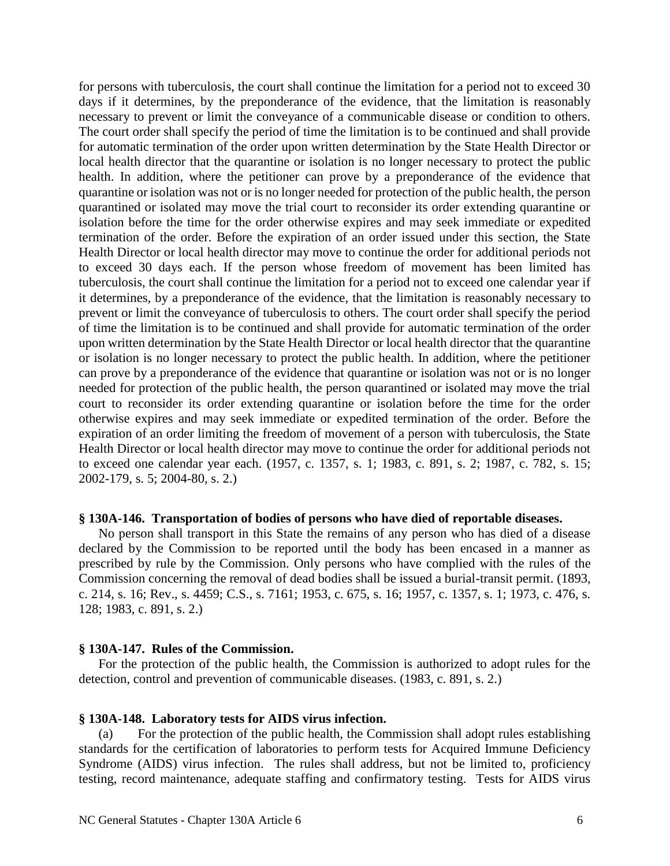for persons with tuberculosis, the court shall continue the limitation for a period not to exceed 30 days if it determines, by the preponderance of the evidence, that the limitation is reasonably necessary to prevent or limit the conveyance of a communicable disease or condition to others. The court order shall specify the period of time the limitation is to be continued and shall provide for automatic termination of the order upon written determination by the State Health Director or local health director that the quarantine or isolation is no longer necessary to protect the public health. In addition, where the petitioner can prove by a preponderance of the evidence that quarantine or isolation was not or is no longer needed for protection of the public health, the person quarantined or isolated may move the trial court to reconsider its order extending quarantine or isolation before the time for the order otherwise expires and may seek immediate or expedited termination of the order. Before the expiration of an order issued under this section, the State Health Director or local health director may move to continue the order for additional periods not to exceed 30 days each. If the person whose freedom of movement has been limited has tuberculosis, the court shall continue the limitation for a period not to exceed one calendar year if it determines, by a preponderance of the evidence, that the limitation is reasonably necessary to prevent or limit the conveyance of tuberculosis to others. The court order shall specify the period of time the limitation is to be continued and shall provide for automatic termination of the order upon written determination by the State Health Director or local health director that the quarantine or isolation is no longer necessary to protect the public health. In addition, where the petitioner can prove by a preponderance of the evidence that quarantine or isolation was not or is no longer needed for protection of the public health, the person quarantined or isolated may move the trial court to reconsider its order extending quarantine or isolation before the time for the order otherwise expires and may seek immediate or expedited termination of the order. Before the expiration of an order limiting the freedom of movement of a person with tuberculosis, the State Health Director or local health director may move to continue the order for additional periods not to exceed one calendar year each. (1957, c. 1357, s. 1; 1983, c. 891, s. 2; 1987, c. 782, s. 15; 2002-179, s. 5; 2004-80, s. 2.)

### **§ 130A-146. Transportation of bodies of persons who have died of reportable diseases.**

No person shall transport in this State the remains of any person who has died of a disease declared by the Commission to be reported until the body has been encased in a manner as prescribed by rule by the Commission. Only persons who have complied with the rules of the Commission concerning the removal of dead bodies shall be issued a burial-transit permit. (1893, c. 214, s. 16; Rev., s. 4459; C.S., s. 7161; 1953, c. 675, s. 16; 1957, c. 1357, s. 1; 1973, c. 476, s. 128; 1983, c. 891, s. 2.)

### **§ 130A-147. Rules of the Commission.**

For the protection of the public health, the Commission is authorized to adopt rules for the detection, control and prevention of communicable diseases. (1983, c. 891, s. 2.)

### **§ 130A-148. Laboratory tests for AIDS virus infection.**

(a) For the protection of the public health, the Commission shall adopt rules establishing standards for the certification of laboratories to perform tests for Acquired Immune Deficiency Syndrome (AIDS) virus infection. The rules shall address, but not be limited to, proficiency testing, record maintenance, adequate staffing and confirmatory testing. Tests for AIDS virus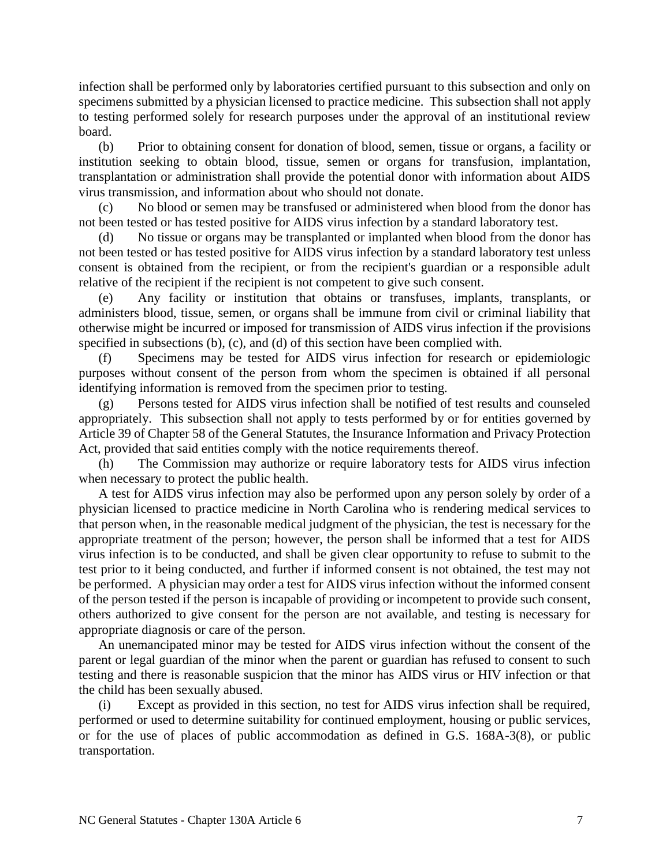infection shall be performed only by laboratories certified pursuant to this subsection and only on specimens submitted by a physician licensed to practice medicine. This subsection shall not apply to testing performed solely for research purposes under the approval of an institutional review board.

(b) Prior to obtaining consent for donation of blood, semen, tissue or organs, a facility or institution seeking to obtain blood, tissue, semen or organs for transfusion, implantation, transplantation or administration shall provide the potential donor with information about AIDS virus transmission, and information about who should not donate.

(c) No blood or semen may be transfused or administered when blood from the donor has not been tested or has tested positive for AIDS virus infection by a standard laboratory test.

(d) No tissue or organs may be transplanted or implanted when blood from the donor has not been tested or has tested positive for AIDS virus infection by a standard laboratory test unless consent is obtained from the recipient, or from the recipient's guardian or a responsible adult relative of the recipient if the recipient is not competent to give such consent.

(e) Any facility or institution that obtains or transfuses, implants, transplants, or administers blood, tissue, semen, or organs shall be immune from civil or criminal liability that otherwise might be incurred or imposed for transmission of AIDS virus infection if the provisions specified in subsections (b), (c), and (d) of this section have been complied with.

(f) Specimens may be tested for AIDS virus infection for research or epidemiologic purposes without consent of the person from whom the specimen is obtained if all personal identifying information is removed from the specimen prior to testing.

(g) Persons tested for AIDS virus infection shall be notified of test results and counseled appropriately. This subsection shall not apply to tests performed by or for entities governed by Article 39 of Chapter 58 of the General Statutes, the Insurance Information and Privacy Protection Act, provided that said entities comply with the notice requirements thereof.

(h) The Commission may authorize or require laboratory tests for AIDS virus infection when necessary to protect the public health.

A test for AIDS virus infection may also be performed upon any person solely by order of a physician licensed to practice medicine in North Carolina who is rendering medical services to that person when, in the reasonable medical judgment of the physician, the test is necessary for the appropriate treatment of the person; however, the person shall be informed that a test for AIDS virus infection is to be conducted, and shall be given clear opportunity to refuse to submit to the test prior to it being conducted, and further if informed consent is not obtained, the test may not be performed. A physician may order a test for AIDS virus infection without the informed consent of the person tested if the person is incapable of providing or incompetent to provide such consent, others authorized to give consent for the person are not available, and testing is necessary for appropriate diagnosis or care of the person.

An unemancipated minor may be tested for AIDS virus infection without the consent of the parent or legal guardian of the minor when the parent or guardian has refused to consent to such testing and there is reasonable suspicion that the minor has AIDS virus or HIV infection or that the child has been sexually abused.

(i) Except as provided in this section, no test for AIDS virus infection shall be required, performed or used to determine suitability for continued employment, housing or public services, or for the use of places of public accommodation as defined in G.S. 168A-3(8), or public transportation.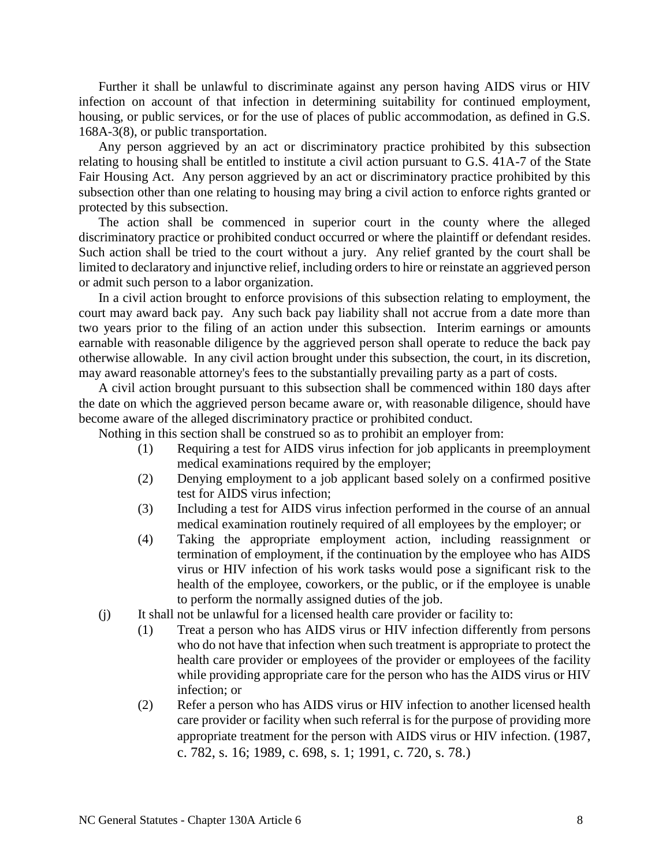Further it shall be unlawful to discriminate against any person having AIDS virus or HIV infection on account of that infection in determining suitability for continued employment, housing, or public services, or for the use of places of public accommodation, as defined in G.S. 168A-3(8), or public transportation.

Any person aggrieved by an act or discriminatory practice prohibited by this subsection relating to housing shall be entitled to institute a civil action pursuant to G.S. 41A-7 of the State Fair Housing Act. Any person aggrieved by an act or discriminatory practice prohibited by this subsection other than one relating to housing may bring a civil action to enforce rights granted or protected by this subsection.

The action shall be commenced in superior court in the county where the alleged discriminatory practice or prohibited conduct occurred or where the plaintiff or defendant resides. Such action shall be tried to the court without a jury. Any relief granted by the court shall be limited to declaratory and injunctive relief, including orders to hire or reinstate an aggrieved person or admit such person to a labor organization.

In a civil action brought to enforce provisions of this subsection relating to employment, the court may award back pay. Any such back pay liability shall not accrue from a date more than two years prior to the filing of an action under this subsection. Interim earnings or amounts earnable with reasonable diligence by the aggrieved person shall operate to reduce the back pay otherwise allowable. In any civil action brought under this subsection, the court, in its discretion, may award reasonable attorney's fees to the substantially prevailing party as a part of costs.

A civil action brought pursuant to this subsection shall be commenced within 180 days after the date on which the aggrieved person became aware or, with reasonable diligence, should have become aware of the alleged discriminatory practice or prohibited conduct.

Nothing in this section shall be construed so as to prohibit an employer from:

- (1) Requiring a test for AIDS virus infection for job applicants in preemployment medical examinations required by the employer;
- (2) Denying employment to a job applicant based solely on a confirmed positive test for AIDS virus infection;
- (3) Including a test for AIDS virus infection performed in the course of an annual medical examination routinely required of all employees by the employer; or
- (4) Taking the appropriate employment action, including reassignment or termination of employment, if the continuation by the employee who has AIDS virus or HIV infection of his work tasks would pose a significant risk to the health of the employee, coworkers, or the public, or if the employee is unable to perform the normally assigned duties of the job.
- (j) It shall not be unlawful for a licensed health care provider or facility to:
	- (1) Treat a person who has AIDS virus or HIV infection differently from persons who do not have that infection when such treatment is appropriate to protect the health care provider or employees of the provider or employees of the facility while providing appropriate care for the person who has the AIDS virus or HIV infection; or
	- (2) Refer a person who has AIDS virus or HIV infection to another licensed health care provider or facility when such referral is for the purpose of providing more appropriate treatment for the person with AIDS virus or HIV infection. (1987, c. 782, s. 16; 1989, c. 698, s. 1; 1991, c. 720, s. 78.)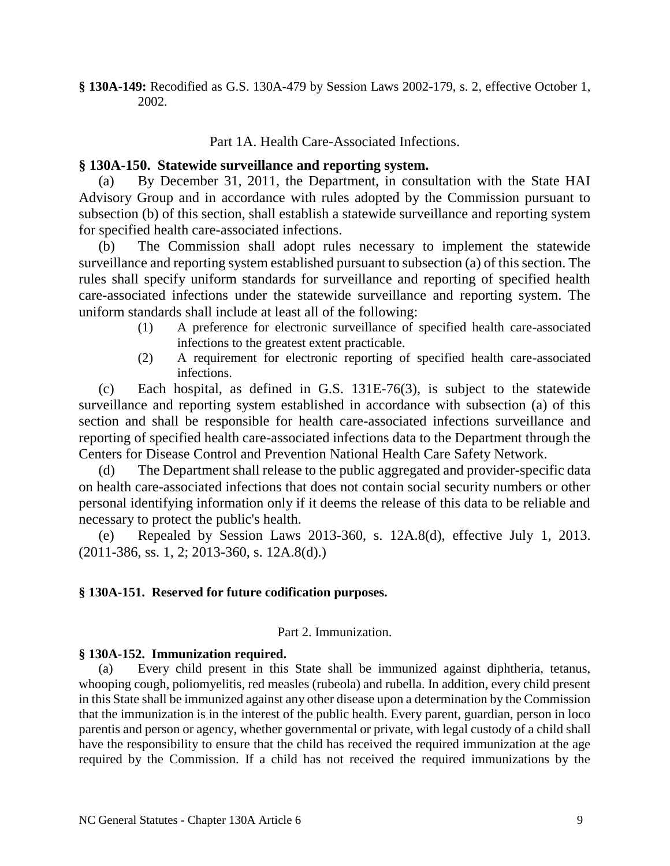**§ 130A-149:** Recodified as G.S. 130A-479 by Session Laws 2002-179, s. 2, effective October 1, 2002.

### Part 1A. Health Care-Associated Infections.

## **§ 130A-150. Statewide surveillance and reporting system.**

(a) By December 31, 2011, the Department, in consultation with the State HAI Advisory Group and in accordance with rules adopted by the Commission pursuant to subsection (b) of this section, shall establish a statewide surveillance and reporting system for specified health care-associated infections.

(b) The Commission shall adopt rules necessary to implement the statewide surveillance and reporting system established pursuant to subsection (a) of this section. The rules shall specify uniform standards for surveillance and reporting of specified health care-associated infections under the statewide surveillance and reporting system. The uniform standards shall include at least all of the following:

- (1) A preference for electronic surveillance of specified health care-associated infections to the greatest extent practicable.
- (2) A requirement for electronic reporting of specified health care-associated infections.

(c) Each hospital, as defined in G.S. 131E-76(3), is subject to the statewide surveillance and reporting system established in accordance with subsection (a) of this section and shall be responsible for health care-associated infections surveillance and reporting of specified health care-associated infections data to the Department through the Centers for Disease Control and Prevention National Health Care Safety Network.

(d) The Department shall release to the public aggregated and provider-specific data on health care-associated infections that does not contain social security numbers or other personal identifying information only if it deems the release of this data to be reliable and necessary to protect the public's health.

(e) Repealed by Session Laws 2013-360, s. 12A.8(d), effective July 1, 2013. (2011-386, ss. 1, 2; 2013-360, s. 12A.8(d).)

## **§ 130A-151. Reserved for future codification purposes.**

## Part 2. Immunization.

### **§ 130A-152. Immunization required.**

(a) Every child present in this State shall be immunized against diphtheria, tetanus, whooping cough, poliomyelitis, red measles (rubeola) and rubella. In addition, every child present in this State shall be immunized against any other disease upon a determination by the Commission that the immunization is in the interest of the public health. Every parent, guardian, person in loco parentis and person or agency, whether governmental or private, with legal custody of a child shall have the responsibility to ensure that the child has received the required immunization at the age required by the Commission. If a child has not received the required immunizations by the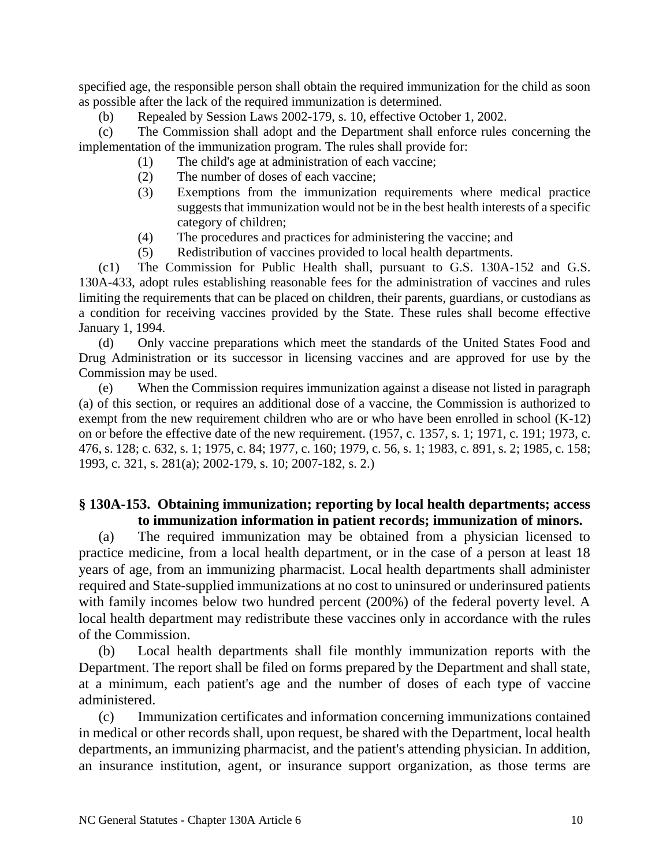specified age, the responsible person shall obtain the required immunization for the child as soon as possible after the lack of the required immunization is determined.

(b) Repealed by Session Laws 2002-179, s. 10, effective October 1, 2002.

(c) The Commission shall adopt and the Department shall enforce rules concerning the implementation of the immunization program. The rules shall provide for:

- (1) The child's age at administration of each vaccine;
- (2) The number of doses of each vaccine;
- (3) Exemptions from the immunization requirements where medical practice suggests that immunization would not be in the best health interests of a specific category of children;
- (4) The procedures and practices for administering the vaccine; and
- (5) Redistribution of vaccines provided to local health departments.

(c1) The Commission for Public Health shall, pursuant to G.S. 130A-152 and G.S. 130A-433, adopt rules establishing reasonable fees for the administration of vaccines and rules limiting the requirements that can be placed on children, their parents, guardians, or custodians as a condition for receiving vaccines provided by the State. These rules shall become effective January 1, 1994.

(d) Only vaccine preparations which meet the standards of the United States Food and Drug Administration or its successor in licensing vaccines and are approved for use by the Commission may be used.

(e) When the Commission requires immunization against a disease not listed in paragraph (a) of this section, or requires an additional dose of a vaccine, the Commission is authorized to exempt from the new requirement children who are or who have been enrolled in school (K-12) on or before the effective date of the new requirement. (1957, c. 1357, s. 1; 1971, c. 191; 1973, c. 476, s. 128; c. 632, s. 1; 1975, c. 84; 1977, c. 160; 1979, c. 56, s. 1; 1983, c. 891, s. 2; 1985, c. 158; 1993, c. 321, s. 281(a); 2002-179, s. 10; 2007-182, s. 2.)

# **§ 130A-153. Obtaining immunization; reporting by local health departments; access to immunization information in patient records; immunization of minors.**

(a) The required immunization may be obtained from a physician licensed to practice medicine, from a local health department, or in the case of a person at least 18 years of age, from an immunizing pharmacist. Local health departments shall administer required and State-supplied immunizations at no cost to uninsured or underinsured patients with family incomes below two hundred percent (200%) of the federal poverty level. A local health department may redistribute these vaccines only in accordance with the rules of the Commission.

(b) Local health departments shall file monthly immunization reports with the Department. The report shall be filed on forms prepared by the Department and shall state, at a minimum, each patient's age and the number of doses of each type of vaccine administered.

(c) Immunization certificates and information concerning immunizations contained in medical or other records shall, upon request, be shared with the Department, local health departments, an immunizing pharmacist, and the patient's attending physician. In addition, an insurance institution, agent, or insurance support organization, as those terms are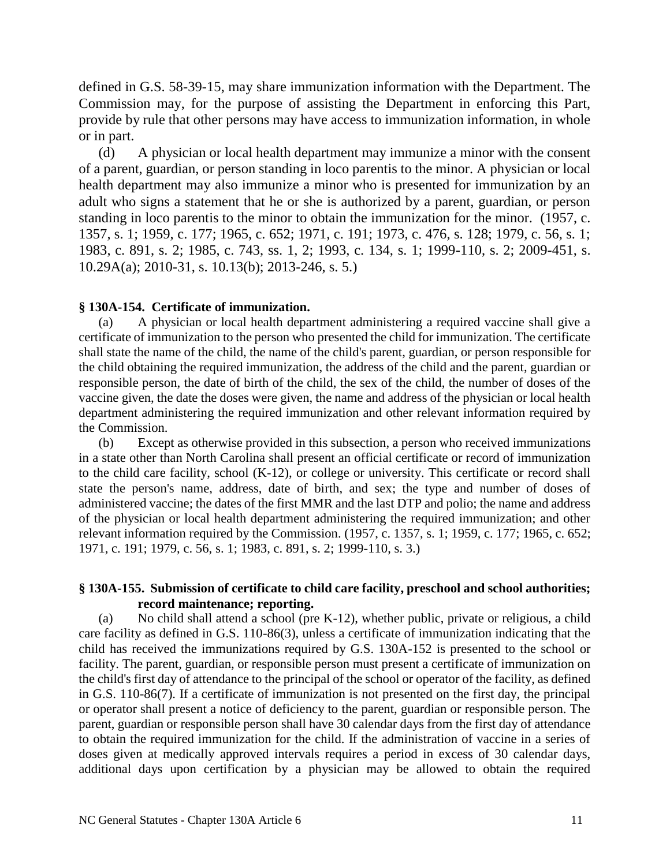defined in G.S. 58-39-15, may share immunization information with the Department. The Commission may, for the purpose of assisting the Department in enforcing this Part, provide by rule that other persons may have access to immunization information, in whole or in part.

(d) A physician or local health department may immunize a minor with the consent of a parent, guardian, or person standing in loco parentis to the minor. A physician or local health department may also immunize a minor who is presented for immunization by an adult who signs a statement that he or she is authorized by a parent, guardian, or person standing in loco parentis to the minor to obtain the immunization for the minor. (1957, c. 1357, s. 1; 1959, c. 177; 1965, c. 652; 1971, c. 191; 1973, c. 476, s. 128; 1979, c. 56, s. 1; 1983, c. 891, s. 2; 1985, c. 743, ss. 1, 2; 1993, c. 134, s. 1; 1999-110, s. 2; 2009-451, s. 10.29A(a); 2010-31, s. 10.13(b); 2013-246, s. 5.)

# **§ 130A-154. Certificate of immunization.**

(a) A physician or local health department administering a required vaccine shall give a certificate of immunization to the person who presented the child for immunization. The certificate shall state the name of the child, the name of the child's parent, guardian, or person responsible for the child obtaining the required immunization, the address of the child and the parent, guardian or responsible person, the date of birth of the child, the sex of the child, the number of doses of the vaccine given, the date the doses were given, the name and address of the physician or local health department administering the required immunization and other relevant information required by the Commission.

(b) Except as otherwise provided in this subsection, a person who received immunizations in a state other than North Carolina shall present an official certificate or record of immunization to the child care facility, school (K-12), or college or university. This certificate or record shall state the person's name, address, date of birth, and sex; the type and number of doses of administered vaccine; the dates of the first MMR and the last DTP and polio; the name and address of the physician or local health department administering the required immunization; and other relevant information required by the Commission. (1957, c. 1357, s. 1; 1959, c. 177; 1965, c. 652; 1971, c. 191; 1979, c. 56, s. 1; 1983, c. 891, s. 2; 1999-110, s. 3.)

# **§ 130A-155. Submission of certificate to child care facility, preschool and school authorities; record maintenance; reporting.**

(a) No child shall attend a school (pre K-12), whether public, private or religious, a child care facility as defined in G.S. 110-86(3), unless a certificate of immunization indicating that the child has received the immunizations required by G.S. 130A-152 is presented to the school or facility. The parent, guardian, or responsible person must present a certificate of immunization on the child's first day of attendance to the principal of the school or operator of the facility, as defined in G.S. 110-86(7). If a certificate of immunization is not presented on the first day, the principal or operator shall present a notice of deficiency to the parent, guardian or responsible person. The parent, guardian or responsible person shall have 30 calendar days from the first day of attendance to obtain the required immunization for the child. If the administration of vaccine in a series of doses given at medically approved intervals requires a period in excess of 30 calendar days, additional days upon certification by a physician may be allowed to obtain the required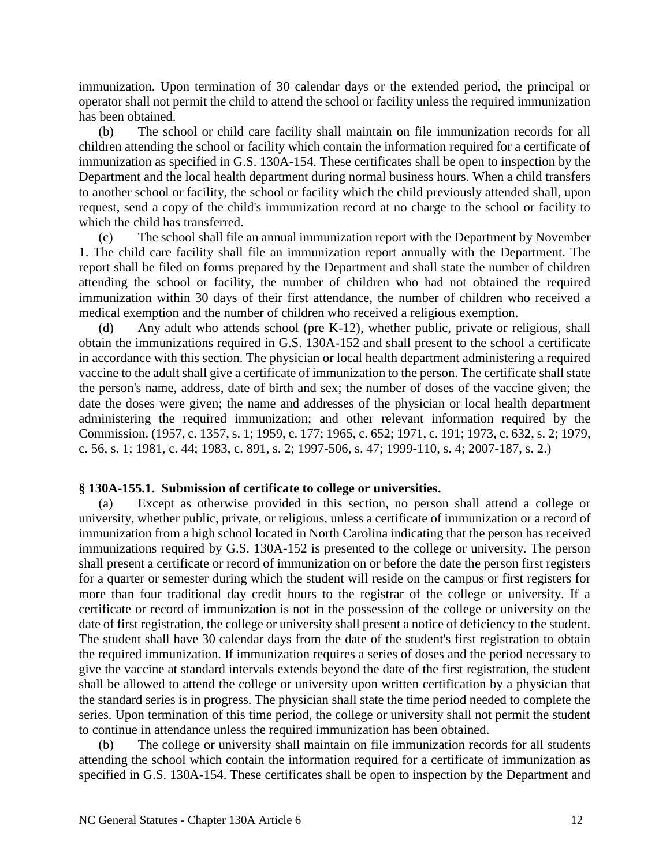immunization. Upon termination of 30 calendar days or the extended period, the principal or operator shall not permit the child to attend the school or facility unless the required immunization has been obtained.

(b) The school or child care facility shall maintain on file immunization records for all children attending the school or facility which contain the information required for a certificate of immunization as specified in G.S. 130A-154. These certificates shall be open to inspection by the Department and the local health department during normal business hours. When a child transfers to another school or facility, the school or facility which the child previously attended shall, upon request, send a copy of the child's immunization record at no charge to the school or facility to which the child has transferred.

(c) The school shall file an annual immunization report with the Department by November 1. The child care facility shall file an immunization report annually with the Department. The report shall be filed on forms prepared by the Department and shall state the number of children attending the school or facility, the number of children who had not obtained the required immunization within 30 days of their first attendance, the number of children who received a medical exemption and the number of children who received a religious exemption.

(d) Any adult who attends school (pre K-12), whether public, private or religious, shall obtain the immunizations required in G.S. 130A-152 and shall present to the school a certificate in accordance with this section. The physician or local health department administering a required vaccine to the adult shall give a certificate of immunization to the person. The certificate shall state the person's name, address, date of birth and sex; the number of doses of the vaccine given; the date the doses were given; the name and addresses of the physician or local health department administering the required immunization; and other relevant information required by the Commission. (1957, c. 1357, s. 1; 1959, c. 177; 1965, c. 652; 1971, c. 191; 1973, c. 632, s. 2; 1979, c. 56, s. 1; 1981, c. 44; 1983, c. 891, s. 2; 1997-506, s. 47; 1999-110, s. 4; 2007-187, s. 2.)

# **§ 130A-155.1. Submission of certificate to college or universities.**

(a) Except as otherwise provided in this section, no person shall attend a college or university, whether public, private, or religious, unless a certificate of immunization or a record of immunization from a high school located in North Carolina indicating that the person has received immunizations required by G.S. 130A-152 is presented to the college or university. The person shall present a certificate or record of immunization on or before the date the person first registers for a quarter or semester during which the student will reside on the campus or first registers for more than four traditional day credit hours to the registrar of the college or university. If a certificate or record of immunization is not in the possession of the college or university on the date of first registration, the college or university shall present a notice of deficiency to the student. The student shall have 30 calendar days from the date of the student's first registration to obtain the required immunization. If immunization requires a series of doses and the period necessary to give the vaccine at standard intervals extends beyond the date of the first registration, the student shall be allowed to attend the college or university upon written certification by a physician that the standard series is in progress. The physician shall state the time period needed to complete the series. Upon termination of this time period, the college or university shall not permit the student to continue in attendance unless the required immunization has been obtained.

(b) The college or university shall maintain on file immunization records for all students attending the school which contain the information required for a certificate of immunization as specified in G.S. 130A-154. These certificates shall be open to inspection by the Department and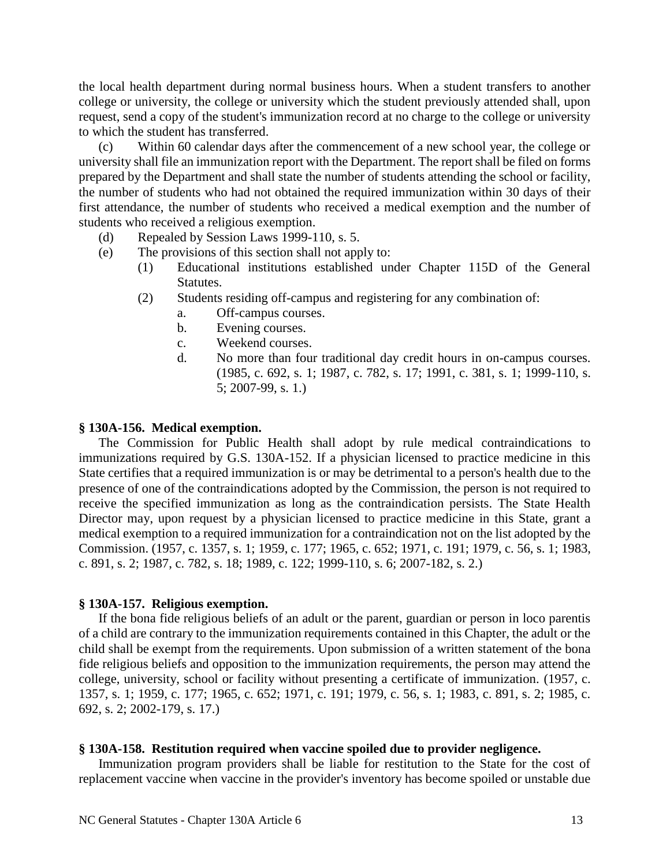the local health department during normal business hours. When a student transfers to another college or university, the college or university which the student previously attended shall, upon request, send a copy of the student's immunization record at no charge to the college or university to which the student has transferred.

(c) Within 60 calendar days after the commencement of a new school year, the college or university shall file an immunization report with the Department. The report shall be filed on forms prepared by the Department and shall state the number of students attending the school or facility, the number of students who had not obtained the required immunization within 30 days of their first attendance, the number of students who received a medical exemption and the number of students who received a religious exemption.

- (d) Repealed by Session Laws 1999-110, s. 5.
- (e) The provisions of this section shall not apply to:
	- (1) Educational institutions established under Chapter 115D of the General Statutes.
	- (2) Students residing off-campus and registering for any combination of:
		- a. Off-campus courses.
		- b. Evening courses.
		- c. Weekend courses.
		- d. No more than four traditional day credit hours in on-campus courses. (1985, c. 692, s. 1; 1987, c. 782, s. 17; 1991, c. 381, s. 1; 1999-110, s. 5; 2007-99, s. 1.)

### **§ 130A-156. Medical exemption.**

The Commission for Public Health shall adopt by rule medical contraindications to immunizations required by G.S. 130A-152. If a physician licensed to practice medicine in this State certifies that a required immunization is or may be detrimental to a person's health due to the presence of one of the contraindications adopted by the Commission, the person is not required to receive the specified immunization as long as the contraindication persists. The State Health Director may, upon request by a physician licensed to practice medicine in this State, grant a medical exemption to a required immunization for a contraindication not on the list adopted by the Commission. (1957, c. 1357, s. 1; 1959, c. 177; 1965, c. 652; 1971, c. 191; 1979, c. 56, s. 1; 1983, c. 891, s. 2; 1987, c. 782, s. 18; 1989, c. 122; 1999-110, s. 6; 2007-182, s. 2.)

## **§ 130A-157. Religious exemption.**

If the bona fide religious beliefs of an adult or the parent, guardian or person in loco parentis of a child are contrary to the immunization requirements contained in this Chapter, the adult or the child shall be exempt from the requirements. Upon submission of a written statement of the bona fide religious beliefs and opposition to the immunization requirements, the person may attend the college, university, school or facility without presenting a certificate of immunization. (1957, c. 1357, s. 1; 1959, c. 177; 1965, c. 652; 1971, c. 191; 1979, c. 56, s. 1; 1983, c. 891, s. 2; 1985, c. 692, s. 2; 2002-179, s. 17.)

### **§ 130A-158. Restitution required when vaccine spoiled due to provider negligence.**

Immunization program providers shall be liable for restitution to the State for the cost of replacement vaccine when vaccine in the provider's inventory has become spoiled or unstable due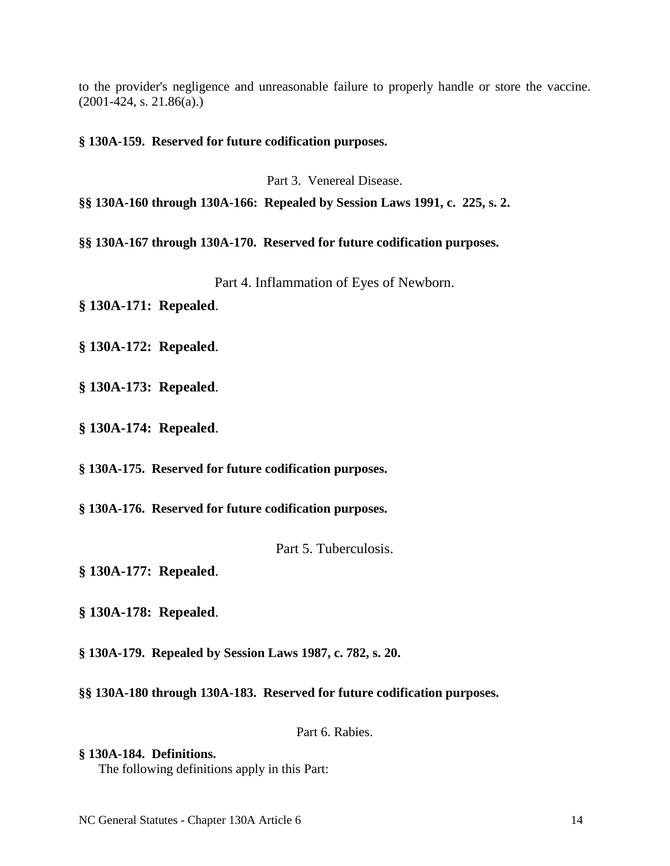to the provider's negligence and unreasonable failure to properly handle or store the vaccine. (2001-424, s. 21.86(a).)

**§ 130A-159. Reserved for future codification purposes.**

Part 3. Venereal Disease.

**§§ 130A-160 through 130A-166: Repealed by Session Laws 1991, c. 225, s. 2.**

**§§ 130A-167 through 130A-170. Reserved for future codification purposes.**

Part 4. Inflammation of Eyes of Newborn.

**§ 130A-171: Repealed**.

**§ 130A-172: Repealed**.

**§ 130A-173: Repealed**.

**§ 130A-174: Repealed**.

**§ 130A-175. Reserved for future codification purposes.**

**§ 130A-176. Reserved for future codification purposes.**

Part 5. Tuberculosis.

**§ 130A-177: Repealed**.

**§ 130A-178: Repealed**.

**§ 130A-179. Repealed by Session Laws 1987, c. 782, s. 20.**

**§§ 130A-180 through 130A-183. Reserved for future codification purposes.**

Part 6. Rabies.

**§ 130A-184. Definitions.** The following definitions apply in this Part: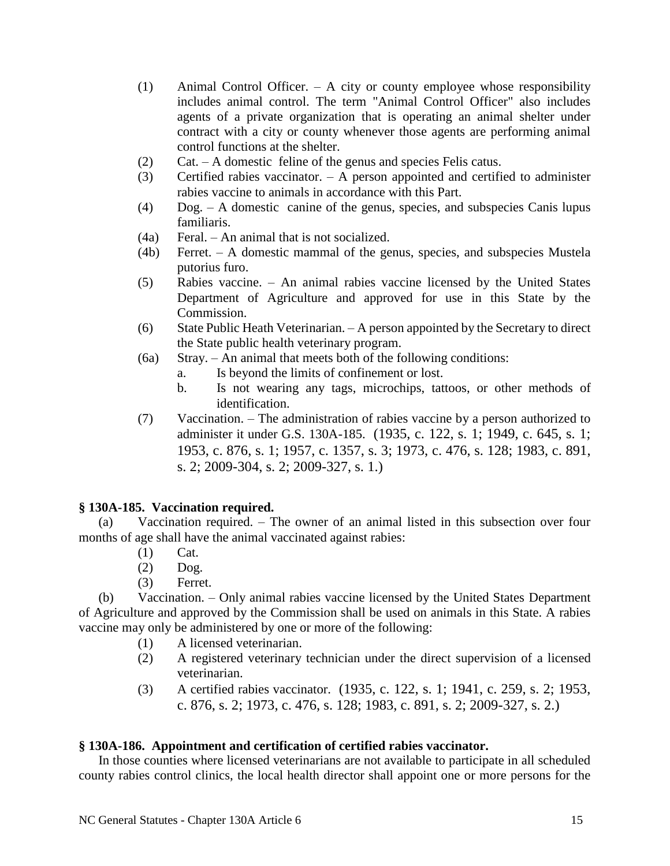- (1) Animal Control Officer. A city or county employee whose responsibility includes animal control. The term "Animal Control Officer" also includes agents of a private organization that is operating an animal shelter under contract with a city or county whenever those agents are performing animal control functions at the shelter.
- (2) Cat. A domestic feline of the genus and species Felis catus.
- (3) Certified rabies vaccinator. A person appointed and certified to administer rabies vaccine to animals in accordance with this Part.
- (4) Dog. A domestic canine of the genus, species, and subspecies Canis lupus familiaris.
- (4a) Feral. An animal that is not socialized.
- (4b) Ferret. A domestic mammal of the genus, species, and subspecies Mustela putorius furo.
- (5) Rabies vaccine. An animal rabies vaccine licensed by the United States Department of Agriculture and approved for use in this State by the Commission.
- (6) State Public Heath Veterinarian. A person appointed by the Secretary to direct the State public health veterinary program.
- (6a) Stray. An animal that meets both of the following conditions:
	- a. Is beyond the limits of confinement or lost.
	- b. Is not wearing any tags, microchips, tattoos, or other methods of identification.
- (7) Vaccination. The administration of rabies vaccine by a person authorized to administer it under G.S. 130A-185. (1935, c. 122, s. 1; 1949, c. 645, s. 1; 1953, c. 876, s. 1; 1957, c. 1357, s. 3; 1973, c. 476, s. 128; 1983, c. 891, s. 2; 2009-304, s. 2; 2009-327, s. 1.)

# **§ 130A-185. Vaccination required.**

Vaccination required. – The owner of an animal listed in this subsection over four months of age shall have the animal vaccinated against rabies:

- (1) Cat.
- (2) Dog.
- (3) Ferret.

(b) Vaccination. – Only animal rabies vaccine licensed by the United States Department of Agriculture and approved by the Commission shall be used on animals in this State. A rabies vaccine may only be administered by one or more of the following:

- (1) A licensed veterinarian.
- (2) A registered veterinary technician under the direct supervision of a licensed veterinarian.
- (3) A certified rabies vaccinator. (1935, c. 122, s. 1; 1941, c. 259, s. 2; 1953, c. 876, s. 2; 1973, c. 476, s. 128; 1983, c. 891, s. 2; 2009-327, s. 2.)

# **§ 130A-186. Appointment and certification of certified rabies vaccinator.**

In those counties where licensed veterinarians are not available to participate in all scheduled county rabies control clinics, the local health director shall appoint one or more persons for the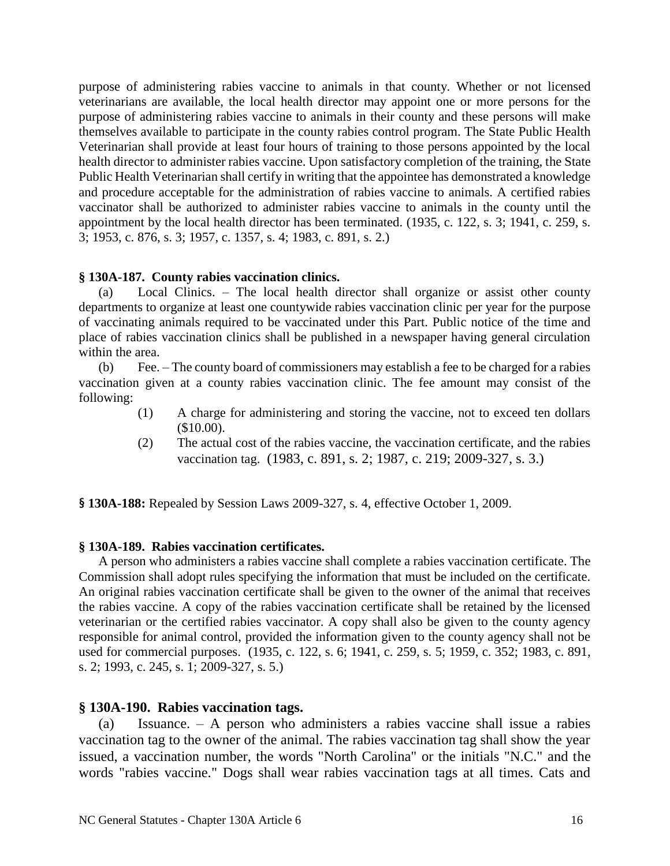purpose of administering rabies vaccine to animals in that county. Whether or not licensed veterinarians are available, the local health director may appoint one or more persons for the purpose of administering rabies vaccine to animals in their county and these persons will make themselves available to participate in the county rabies control program. The State Public Health Veterinarian shall provide at least four hours of training to those persons appointed by the local health director to administer rabies vaccine. Upon satisfactory completion of the training, the State Public Health Veterinarian shall certify in writing that the appointee has demonstrated a knowledge and procedure acceptable for the administration of rabies vaccine to animals. A certified rabies vaccinator shall be authorized to administer rabies vaccine to animals in the county until the appointment by the local health director has been terminated. (1935, c. 122, s. 3; 1941, c. 259, s. 3; 1953, c. 876, s. 3; 1957, c. 1357, s. 4; 1983, c. 891, s. 2.)

# **§ 130A-187. County rabies vaccination clinics.**

(a) Local Clinics. – The local health director shall organize or assist other county departments to organize at least one countywide rabies vaccination clinic per year for the purpose of vaccinating animals required to be vaccinated under this Part. Public notice of the time and place of rabies vaccination clinics shall be published in a newspaper having general circulation within the area.

(b) Fee. – The county board of commissioners may establish a fee to be charged for a rabies vaccination given at a county rabies vaccination clinic. The fee amount may consist of the following:

- (1) A charge for administering and storing the vaccine, not to exceed ten dollars (\$10.00).
- (2) The actual cost of the rabies vaccine, the vaccination certificate, and the rabies vaccination tag. (1983, c. 891, s. 2; 1987, c. 219; 2009-327, s. 3.)

**§ 130A-188:** Repealed by Session Laws 2009-327, s. 4, effective October 1, 2009.

# **§ 130A-189. Rabies vaccination certificates.**

A person who administers a rabies vaccine shall complete a rabies vaccination certificate. The Commission shall adopt rules specifying the information that must be included on the certificate. An original rabies vaccination certificate shall be given to the owner of the animal that receives the rabies vaccine. A copy of the rabies vaccination certificate shall be retained by the licensed veterinarian or the certified rabies vaccinator. A copy shall also be given to the county agency responsible for animal control, provided the information given to the county agency shall not be used for commercial purposes. (1935, c. 122, s. 6; 1941, c. 259, s. 5; 1959, c. 352; 1983, c. 891, s. 2; 1993, c. 245, s. 1; 2009-327, s. 5.)

# **§ 130A-190. Rabies vaccination tags.**

(a) Issuance. – A person who administers a rabies vaccine shall issue a rabies vaccination tag to the owner of the animal. The rabies vaccination tag shall show the year issued, a vaccination number, the words "North Carolina" or the initials "N.C." and the words "rabies vaccine." Dogs shall wear rabies vaccination tags at all times. Cats and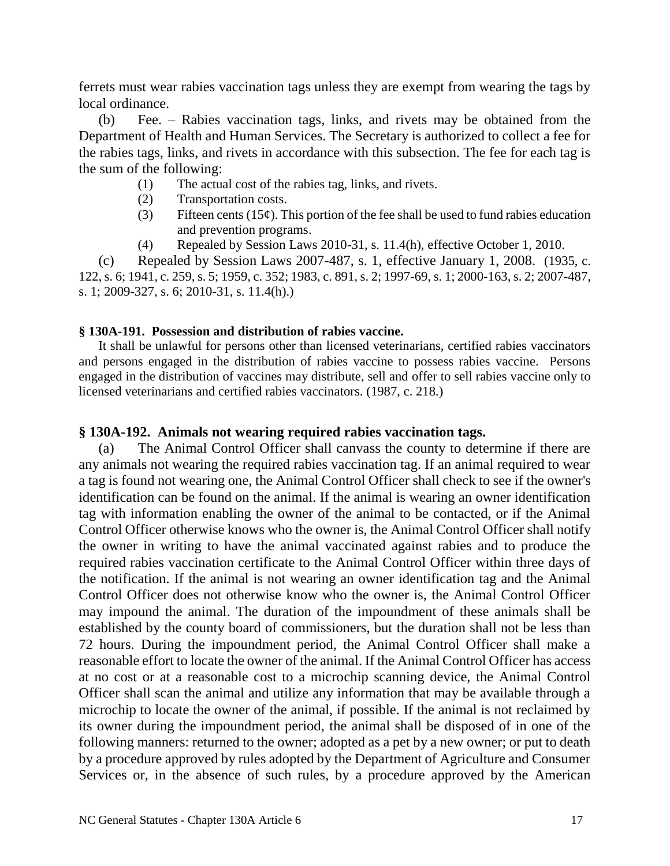ferrets must wear rabies vaccination tags unless they are exempt from wearing the tags by local ordinance.

(b) Fee. – Rabies vaccination tags, links, and rivets may be obtained from the Department of Health and Human Services. The Secretary is authorized to collect a fee for the rabies tags, links, and rivets in accordance with this subsection. The fee for each tag is the sum of the following:

- (1) The actual cost of the rabies tag, links, and rivets.
- (2) Transportation costs.
- (3) Fifteen cents (15 $\varphi$ ). This portion of the fee shall be used to fund rabies education and prevention programs.
- (4) Repealed by Session Laws 2010-31, s. 11.4(h), effective October 1, 2010.

(c) Repealed by Session Laws 2007-487, s. 1, effective January 1, 2008. (1935, c. 122, s. 6; 1941, c. 259, s. 5; 1959, c. 352; 1983, c. 891, s. 2; 1997-69, s. 1; 2000-163, s. 2; 2007-487, s. 1; 2009-327, s. 6; 2010-31, s. 11.4(h).)

# **§ 130A-191. Possession and distribution of rabies vaccine.**

It shall be unlawful for persons other than licensed veterinarians, certified rabies vaccinators and persons engaged in the distribution of rabies vaccine to possess rabies vaccine. Persons engaged in the distribution of vaccines may distribute, sell and offer to sell rabies vaccine only to licensed veterinarians and certified rabies vaccinators. (1987, c. 218.)

# **§ 130A-192. Animals not wearing required rabies vaccination tags.**

(a) The Animal Control Officer shall canvass the county to determine if there are any animals not wearing the required rabies vaccination tag. If an animal required to wear a tag is found not wearing one, the Animal Control Officer shall check to see if the owner's identification can be found on the animal. If the animal is wearing an owner identification tag with information enabling the owner of the animal to be contacted, or if the Animal Control Officer otherwise knows who the owner is, the Animal Control Officer shall notify the owner in writing to have the animal vaccinated against rabies and to produce the required rabies vaccination certificate to the Animal Control Officer within three days of the notification. If the animal is not wearing an owner identification tag and the Animal Control Officer does not otherwise know who the owner is, the Animal Control Officer may impound the animal. The duration of the impoundment of these animals shall be established by the county board of commissioners, but the duration shall not be less than 72 hours. During the impoundment period, the Animal Control Officer shall make a reasonable effort to locate the owner of the animal. If the Animal Control Officer has access at no cost or at a reasonable cost to a microchip scanning device, the Animal Control Officer shall scan the animal and utilize any information that may be available through a microchip to locate the owner of the animal, if possible. If the animal is not reclaimed by its owner during the impoundment period, the animal shall be disposed of in one of the following manners: returned to the owner; adopted as a pet by a new owner; or put to death by a procedure approved by rules adopted by the Department of Agriculture and Consumer Services or, in the absence of such rules, by a procedure approved by the American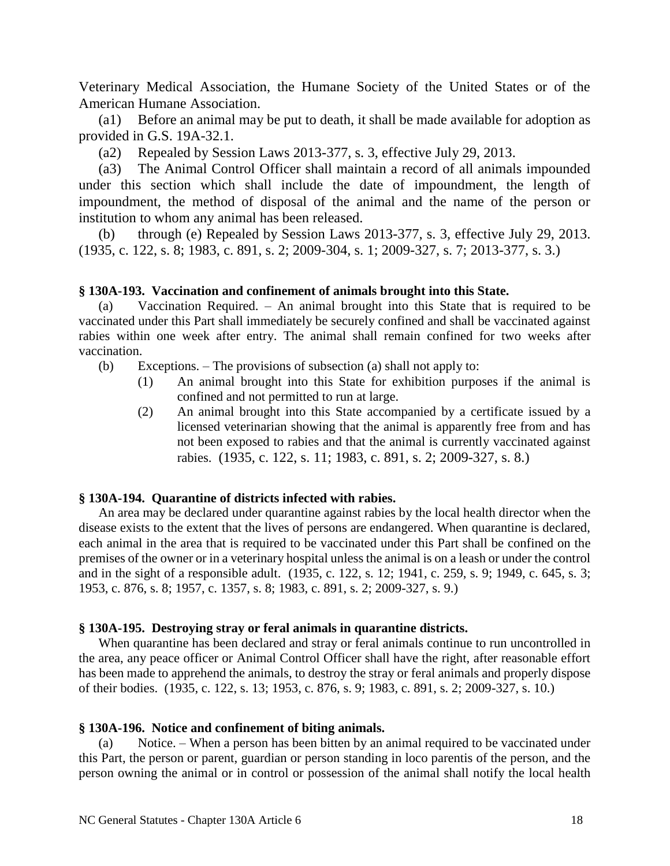Veterinary Medical Association, the Humane Society of the United States or of the American Humane Association.

(a1) Before an animal may be put to death, it shall be made available for adoption as provided in G.S. 19A-32.1.

(a2) Repealed by Session Laws 2013-377, s. 3, effective July 29, 2013.

(a3) The Animal Control Officer shall maintain a record of all animals impounded under this section which shall include the date of impoundment, the length of impoundment, the method of disposal of the animal and the name of the person or institution to whom any animal has been released.

(b) through (e) Repealed by Session Laws 2013-377, s. 3, effective July 29, 2013. (1935, c. 122, s. 8; 1983, c. 891, s. 2; 2009-304, s. 1; 2009-327, s. 7; 2013-377, s. 3.)

## **§ 130A-193. Vaccination and confinement of animals brought into this State.**

(a) Vaccination Required. – An animal brought into this State that is required to be vaccinated under this Part shall immediately be securely confined and shall be vaccinated against rabies within one week after entry. The animal shall remain confined for two weeks after vaccination.

- (b) Exceptions. The provisions of subsection (a) shall not apply to:
	- (1) An animal brought into this State for exhibition purposes if the animal is confined and not permitted to run at large.
	- (2) An animal brought into this State accompanied by a certificate issued by a licensed veterinarian showing that the animal is apparently free from and has not been exposed to rabies and that the animal is currently vaccinated against rabies. (1935, c. 122, s. 11; 1983, c. 891, s. 2; 2009-327, s. 8.)

## **§ 130A-194. Quarantine of districts infected with rabies.**

An area may be declared under quarantine against rabies by the local health director when the disease exists to the extent that the lives of persons are endangered. When quarantine is declared, each animal in the area that is required to be vaccinated under this Part shall be confined on the premises of the owner or in a veterinary hospital unless the animal is on a leash or under the control and in the sight of a responsible adult. (1935, c. 122, s. 12; 1941, c. 259, s. 9; 1949, c. 645, s. 3; 1953, c. 876, s. 8; 1957, c. 1357, s. 8; 1983, c. 891, s. 2; 2009-327, s. 9.)

### **§ 130A-195. Destroying stray or feral animals in quarantine districts.**

When quarantine has been declared and stray or feral animals continue to run uncontrolled in the area, any peace officer or Animal Control Officer shall have the right, after reasonable effort has been made to apprehend the animals, to destroy the stray or feral animals and properly dispose of their bodies. (1935, c. 122, s. 13; 1953, c. 876, s. 9; 1983, c. 891, s. 2; 2009-327, s. 10.)

### **§ 130A-196. Notice and confinement of biting animals.**

(a) Notice. – When a person has been bitten by an animal required to be vaccinated under this Part, the person or parent, guardian or person standing in loco parentis of the person, and the person owning the animal or in control or possession of the animal shall notify the local health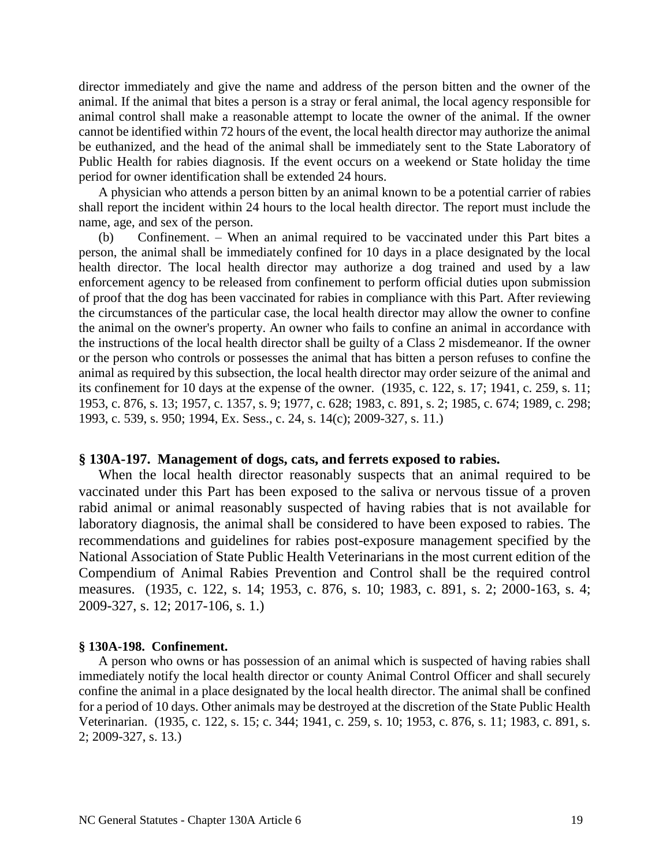director immediately and give the name and address of the person bitten and the owner of the animal. If the animal that bites a person is a stray or feral animal, the local agency responsible for animal control shall make a reasonable attempt to locate the owner of the animal. If the owner cannot be identified within 72 hours of the event, the local health director may authorize the animal be euthanized, and the head of the animal shall be immediately sent to the State Laboratory of Public Health for rabies diagnosis. If the event occurs on a weekend or State holiday the time period for owner identification shall be extended 24 hours.

A physician who attends a person bitten by an animal known to be a potential carrier of rabies shall report the incident within 24 hours to the local health director. The report must include the name, age, and sex of the person.

(b) Confinement. – When an animal required to be vaccinated under this Part bites a person, the animal shall be immediately confined for 10 days in a place designated by the local health director. The local health director may authorize a dog trained and used by a law enforcement agency to be released from confinement to perform official duties upon submission of proof that the dog has been vaccinated for rabies in compliance with this Part. After reviewing the circumstances of the particular case, the local health director may allow the owner to confine the animal on the owner's property. An owner who fails to confine an animal in accordance with the instructions of the local health director shall be guilty of a Class 2 misdemeanor. If the owner or the person who controls or possesses the animal that has bitten a person refuses to confine the animal as required by this subsection, the local health director may order seizure of the animal and its confinement for 10 days at the expense of the owner. (1935, c. 122, s. 17; 1941, c. 259, s. 11; 1953, c. 876, s. 13; 1957, c. 1357, s. 9; 1977, c. 628; 1983, c. 891, s. 2; 1985, c. 674; 1989, c. 298; 1993, c. 539, s. 950; 1994, Ex. Sess., c. 24, s. 14(c); 2009-327, s. 11.)

## **§ 130A-197. Management of dogs, cats, and ferrets exposed to rabies.**

When the local health director reasonably suspects that an animal required to be vaccinated under this Part has been exposed to the saliva or nervous tissue of a proven rabid animal or animal reasonably suspected of having rabies that is not available for laboratory diagnosis, the animal shall be considered to have been exposed to rabies. The recommendations and guidelines for rabies post-exposure management specified by the National Association of State Public Health Veterinarians in the most current edition of the Compendium of Animal Rabies Prevention and Control shall be the required control measures. (1935, c. 122, s. 14; 1953, c. 876, s. 10; 1983, c. 891, s. 2; 2000-163, s. 4; 2009-327, s. 12; 2017-106, s. 1.)

#### **§ 130A-198. Confinement.**

A person who owns or has possession of an animal which is suspected of having rabies shall immediately notify the local health director or county Animal Control Officer and shall securely confine the animal in a place designated by the local health director. The animal shall be confined for a period of 10 days. Other animals may be destroyed at the discretion of the State Public Health Veterinarian. (1935, c. 122, s. 15; c. 344; 1941, c. 259, s. 10; 1953, c. 876, s. 11; 1983, c. 891, s. 2; 2009-327, s. 13.)